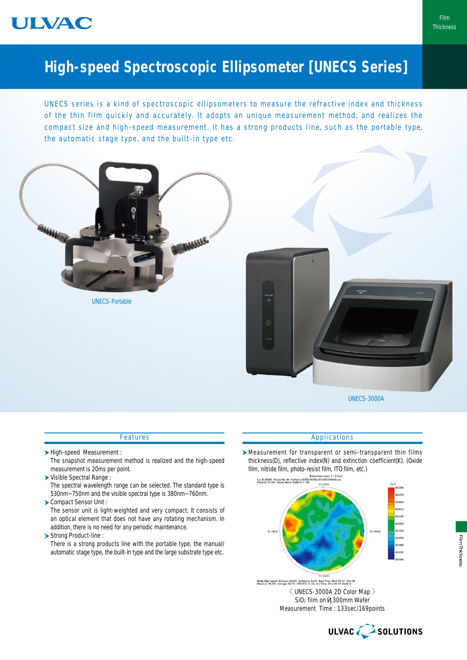

# **High-speed Spectroscopic Ellipsometer [UNECS Series]**

UNECS series is a kind of spectroscopic ellipsometers to measure the refractive index and thickness of the thin film quickly and accurately. It adopts an unique measurement method, and realizes the compact size and high-speed measurement. It has a strong products line, such as the portable type, the automatic stage type, and the built-in type etc.



UNECS-Portable



UNECS-3000A

#### Features

High-speed Measurement :

The snapshot measurement method is realized and the high-speed measurement is 20ms per point.

Visible Spectral Range :

The spectral wavelength range can be selected. The standard type is 530nm~750nm and the visible spectral type is 380nm~760nm.

Compact Sensor Unit :

The sensor unit is light-weighted and very compact. It consists of an optical element that does not have any rotating mechanism. In addition, there is no need for any periodic maintenance.

Strong Product-line :

There is a strong products line with the portable type, the manual/ automatic stage type, the built-in type and the large substrate type etc.

#### Applications

Measurement for transparent or semi-transparent thin films thickness(D), reflective index(N) and extinction coefficient(K). (Oxide film, nitride film, photo-resist film, ITO film, etc.)<br>Les ID:10568 Regine Nay 88 Film/Home IPOR D'EURO (NI D'ANTILLE COMP





Mode: High-speed Minimum: 98.422 Uniformity: 0.419 Start Time: 2013/05/27 10:41:59<br>Maximum: 99.251 Average: 98.773 STD.DEV:: 0.158 End Time: 2013/05/27 10:44:12 〈 UNECS-3000A 2D Color Map 〉 SiO2 film on 300mm Wafer Measurement Time : 133sec/169points

 $Y(-150.0)$ 

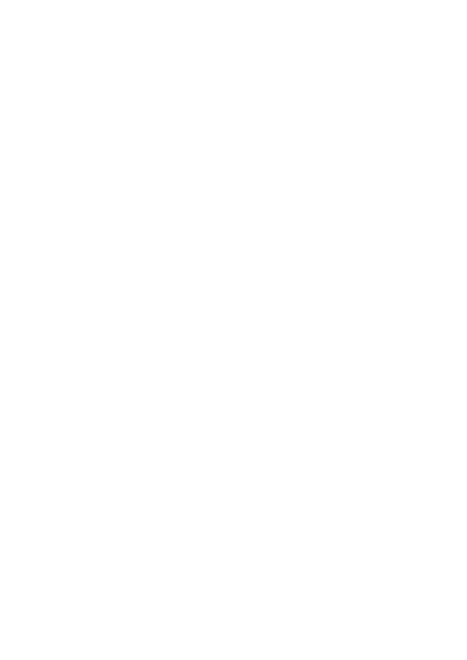## **UNECS-1500A/2000A/3000A(Auto Mapping Stage)**

#### Automatic Stage Type with Mapping Function

3 models are available for 150, 200 and 300mm samples. Auto mapping R- stage and auto focus function make it possible to measure film thickness of entire sample surface and dispay film thickness distribution by color map.

Features

| <b>Specifications</b>                   |                                         |                                       |       |  |
|-----------------------------------------|-----------------------------------------|---------------------------------------|-------|--|
| Model                                   | 1500A                                   | 2000A                                 | 3000A |  |
| <b>Wavelength Range</b>                 | 530~750nm or 380~760nm                  |                                       |       |  |
| Spot Size                               | 0.3 <sub>mm</sub><br>1 <sub>mm</sub> or |                                       |       |  |
| Angle of Incidence                      | $70^{\circ}$                            |                                       |       |  |
| Film Thickness Repeatability            | 0.1 <sub>nm</sub><br>1                  |                                       |       |  |
| <b>Film Thickness Measurement Range</b> | $1$ nm $\sim$ $2 \mu$ m                 |                                       |       |  |
| <b>Measurment Time</b>                  | Sampling: 20ms~3000ms Analyzing: 300ms  |                                       |       |  |
| Sample Stage                            | 150mm                                   | 200mm                                 | 300mm |  |
| Maximum Automatic Measurable Points     | 200                                     | 200                                   | 2.000 |  |
| Control PC                              |                                         | Laptop PC including analysis software |       |  |
|                                         |                                         |                                       |       |  |
| Configuration                           |                                         |                                       |       |  |

Measurement unit.

Control unit.

Control PC (Laptop type) and operation manual (CD).

UNECS-3000A

## **UNECS-1M(Integration)**



Sensor of Built-in Type

#### Built-in Type for System Integration

#### Features

The light-weighted and compact design make it possible to be integrated into various equipments. It is suitable for both of vacuum and atmospheric pressure environments.

| <b>Specifications</b>                     |                                        |  |  |
|-------------------------------------------|----------------------------------------|--|--|
| Wavelength Range                          | 530~750nm or 380~760nm                 |  |  |
| Spot Size                                 | $0.3$ mm<br>1 <sub>mm</sub> or         |  |  |
| Angle of Incidence                        | $70^{\circ}$                           |  |  |
| Film Thickness Repeatability              | 0.1 <sub>nm</sub><br>$\mathbf{1}$      |  |  |
| Film Thickness Measurement Range: 1nm~2um |                                        |  |  |
| <b>Measurment Time</b>                    | Sampling: 20ms~3000ms Analyzing: 300ms |  |  |
| <b>Installation Environment</b>           | Atmosphere or vacuum                   |  |  |
|                                           |                                        |  |  |
| Configuration                             |                                        |  |  |

- Measurement unit.
- Control box.
- Light source unit.
- ▶ Operation manual (CD).
- Analysis software (CD).

For large size substrate] In addition to these standard models, the model for large size substrate (G6) is available. Please contact us for more information.

#### UNECS-1500A/2000A